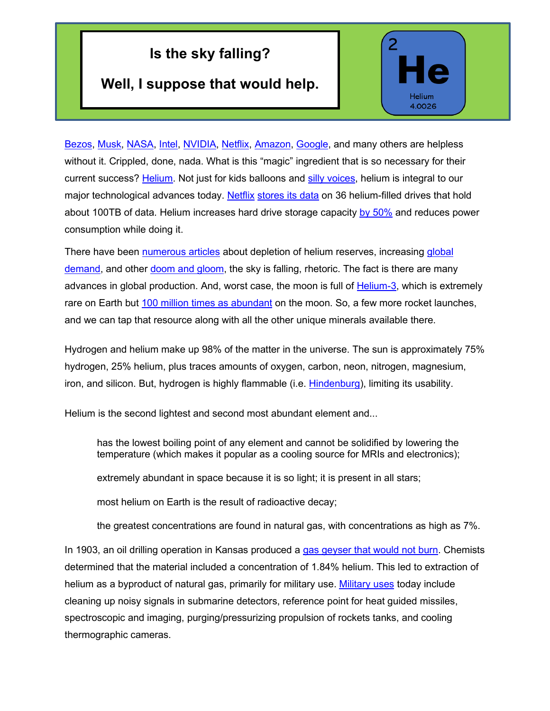## **Is the sky falling?**

## **Well, I suppose that would help.**



[Bezos,](https://en.wikipedia.org/wiki/Jeff_Bezos) [Musk,](https://en.wikipedia.org/wiki/Elon_Musk) [NASA,](https://www.nasa.gov/) [Intel,](https://www.intel.com/content/www/us/en/homepage.html) [NVIDIA,](https://www.nvidia.com/en-us/) [Netflix,](https://www.netflix.com/) [Amazon,](http://www.amazon.com/) [Google,](http://www.google.com/) and many others are helpless without it. Crippled, done, nada. What is this "magic" ingredient that is so necessary for their current success? [Helium.](https://en.wikipedia.org/wiki/Helium) Not just for kids balloons and [silly voices,](https://www.youtube.com/watch?v=FRKVQcbIByo) helium is integral to our major technological advances today. [Netflix](http://www.netflix.com/) [stores its data](https://www.bloomberg.com/press-releases/2021-07-08/the-gas-shortage-that-could-kill-space-exploration) on 36 helium-filled drives that hold about 100TB of data. Helium [increases](https://www.independent.co.uk/life-style/gadgets-and-tech/news/why-filling-hard-drives-with-helium-can-boost-storage-capacity-by-50-8923014.html) hard drive storage capacity [by 50%](https://www.independent.co.uk/life-style/gadgets-and-tech/news/why-filling-hard-drives-helium-can-boost-storage-capacity-50-8923014.html) and reduces power consumption while doing it.

There have been [numerous articles](https://www.cnbc.com/2019/06/21/helium-shortage-why-the-worlds-supply-is-drying-up.html) about depletion of helium reserves, increasing global [demand,](https://www.researchandmarkets.com/reports/5317880/global-helium-market-analysis-plant-capacity?utm_source=GNOM&utm_medium=PressRelease&utm_code=l6m828&utm_campaign=1558234+-+Outlook+on+the+Helium+Global+Market+to+2030+-+Identify+Key+Drivers+and+Challenges&utm_exec=jamu273prd) and other [doom and gloom,](https://www.youtube.com/watch?v=1DWiB7ZuLvI) the sky is falling, rhetoric. The fact is there are many advances in global production. And, worst case, the moon is full of [Helium-3,](https://en.wikipedia.org/wiki/Helium-3) which is extremely rare on Earth but [100 million times as abundant](https://leaps.org/shoot-for-the-moon-its-surface-contains-a-pot-of-gold/particle-1) on the moon. So, a few more rocket launches, and we can tap that resource along with all the other unique minerals available there.

Hydrogen and helium make up 98% of the matter in the universe. The sun is approximately 75% hydrogen, 25% helium, plus traces amounts of oxygen, carbon, neon, nitrogen, magnesium, iron, and silicon. But, hydrogen is highly flammable (i.e. [Hindenburg\)](https://www.youtube.com/watch?v=CgWHbpMVQ1U), limiting its usability.

Helium is the second lightest and second most abundant element and...

has the lowest boiling point of any element and cannot be solidified by lowering the temperature (which makes it popular as a cooling source for MRIs and electronics);

extremely abundant in space because it is so light; it is present in all stars;

most helium on Earth is the result of radioactive decay;

the greatest concentrations are found in natural gas, with concentrations as high as 7%.

In 1903, an oil drilling operation in Kansas produced a [gas geyser that would not burn.](https://www.scribd.com/document/39807235/Gas-Properties-Applications) Chemists determined that the material included a concentration of 1.84% helium. This led to extraction of helium as a byproduct of natural gas, primarily for military use. [Military uses](https://www.army.mil/article/108491/helium_supply_critical_to_army_research#:%7E:text=Helium%20is%20used%20in%20manufacturing,helium%20to%20conduct%20cryogenic%20research.) today include cleaning up noisy signals in submarine detectors, reference point for heat guided missiles, spectroscopic and imaging, purging/pressurizing propulsion of rockets tanks, and cooling thermographic cameras.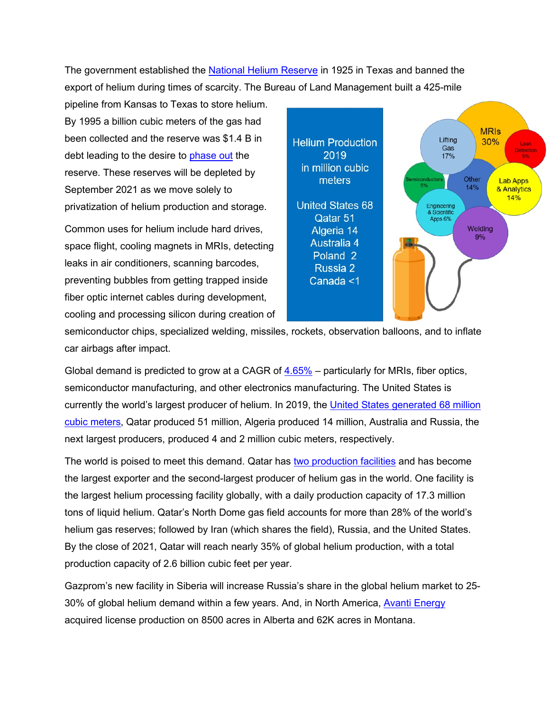The government established the [National Helium Reserve](https://en.wikipedia.org/wiki/National_Helium_Reserve) in 1925 in Texas and banned the export of helium during times of scarcity. The Bureau of Land Management built a 425-mile

pipeline from Kansas to Texas to store helium. By 1995 a billion cubic meters of the gas had been collected and the reserve was \$1.4 B in debt leading to the desire to [phase out](https://en.wikipedia.org/wiki/Helium_production_in_the_United_States) the reserve. These reserves will be depleted by September 2021 as we move solely to privatization of helium production and storage.

Common uses for helium include hard drives, space flight, cooling magnets in MRIs, detecting leaks in air conditioners, scanning barcodes, preventing bubbles from getting trapped inside fiber optic internet cables during development, cooling and processing silicon during creation of



semiconductor chips, specialized welding, missiles, rockets, observation balloons, and to inflate car airbags after impact.

Global demand is predicted to grow at a CAGR of [4.65%](https://www.globenewswire.com/news-release/2021/07/02/2256960/0/en/Outlook-on-the-Helium-Global-Market-to-2030-Identify-Key-Drivers-and-Challenges.html) – particularly for MRIs, fiber optics, semiconductor manufacturing, and other electronics manufacturing. The United States is currently the world's largest producer of helium. In [2019,](https://www.statista.com/statistics/925214/helium-production-worldwide-by-country/) the [United States generated 68 million](https://gulfif.org/a-rising-role-qatar-and-its-competition-in-the-global-helium-market/)  [cubic meters,](https://gulfif.org/a-rising-role-qatar-and-its-competition-in-the-global-helium-market/) Qatar produced 51 million, Algeria produced 14 million, Australia and Russia, the next largest producers, produced 4 and 2 million cubic meters, respectively.

The world is poised to meet this demand. [Qatar](https://thepeninsulaqatar.com/article/24/11/2020/Qatar-boosts-position-in-global-helium-market#:%7E:text=The%20country%20has%20been%20investing,Qatar%20Petroleum) has two [production facilities](https://www.reuters.com/article/us-northfield-qatar/factbox-qatar-iran-share-worlds-biggest-gas-field-idUSTRE66P1VV20100726) and has become the largest exporter and the second-largest producer of helium gas in the world. One facility is the largest helium processing facility globally, with a daily production capacity of 17.3 million tons of liquid helium. Qatar's North Dome gas field accounts for more than 28% of the world's helium gas reserves; followed by Iran (which shares the field), Russia, and the United States. By the close of 2021, Qatar will reach nearly 35% of global helium production, with a total production capacity of 2.6 billion cubic feet per year.

[Gazprom's](https://www.gazprom.com/) new facility in Siberia will increase Russia's share in the global helium market to 25- 30% of global helium demand within a few years. And, in North America, [Avanti Energy](https://avantienergy.com/) acquired license production on 8500 acres in Alberta and 62K acres in Montana.